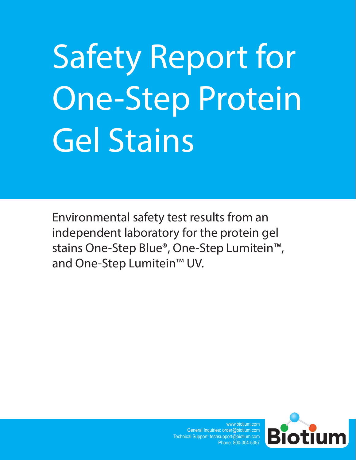# Safety Report for One-Step Protein Gel Stains

Environmental safety test results from an independent laboratory for the protein gel stains One-Step Blue®, One-Step Lumitein™, and One-Step Lumitein™ UV.

> www.biotium.com General Inquiries: order@biotium.com Technical Support: techsupport@biotium.com Phone: 800-304-5357